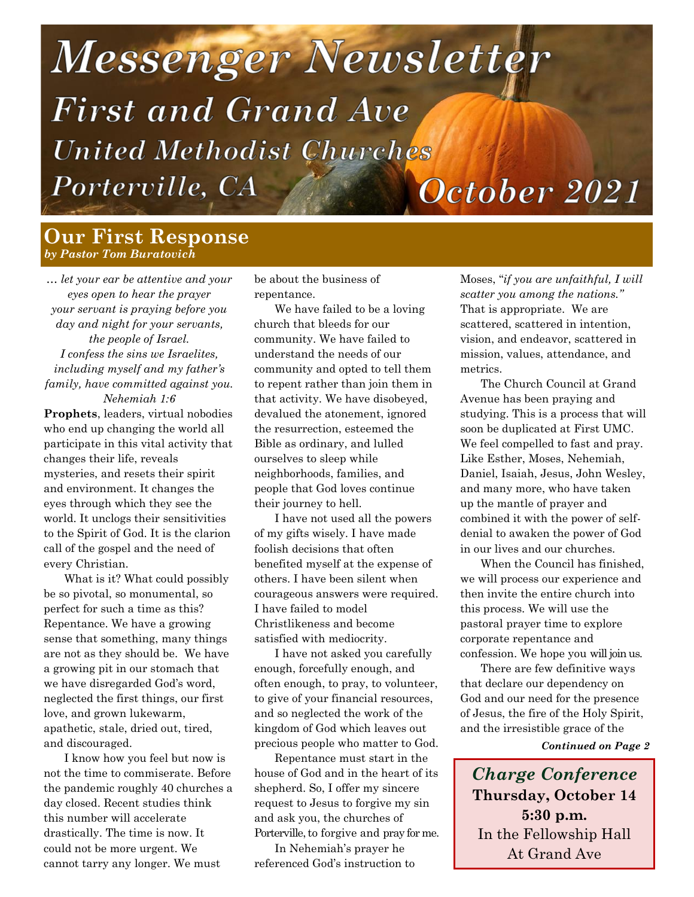# Messenger Newsletter **First and Grand Ave United Methodist Churches** Porterville, CA October 2021

## **Our First Response** *by Pastor Tom Buratovich*

*… let your ear be attentive and your eyes open to hear the prayer your servant is praying before you day and night for your servants, the people of Israel. I confess the sins we Israelites, including myself and my father's family, have committed against you. Nehemiah 1:6*

**Prophets**, leaders, virtual nobodies who end up changing the world all participate in this vital activity that changes their life, reveals mysteries, and resets their spirit and environment. It changes the eyes through which they see the world. It unclogs their sensitivities to the Spirit of God. It is the clarion call of the gospel and the need of every Christian.

What is it? What could possibly be so pivotal, so monumental, so perfect for such a time as this? Repentance. We have a growing sense that something, many things are not as they should be. We have a growing pit in our stomach that we have disregarded God's word, neglected the first things, our first love, and grown lukewarm, apathetic, stale, dried out, tired, and discouraged.

I know how you feel but now is not the time to commiserate. Before the pandemic roughly 40 churches a day closed. Recent studies think this number will accelerate drastically. The time is now. It could not be more urgent. We cannot tarry any longer. We must

be about the business of repentance.

We have failed to be a loving church that bleeds for our community. We have failed to understand the needs of our community and opted to tell them to repent rather than join them in that activity. We have disobeyed, devalued the atonement, ignored the resurrection, esteemed the Bible as ordinary, and lulled ourselves to sleep while neighborhoods, families, and people that God loves continue their journey to hell.

I have not used all the powers of my gifts wisely. I have made foolish decisions that often benefited myself at the expense of others. I have been silent when courageous answers were required. I have failed to model Christlikeness and become satisfied with mediocrity.

I have not asked you carefully enough, forcefully enough, and often enough, to pray, to volunteer, to give of your financial resources, and so neglected the work of the kingdom of God which leaves out precious people who matter to God.

Repentance must start in the house of God and in the heart of its shepherd. So, I offer my sincere request to Jesus to forgive my sin and ask you, the churches of Porterville, to forgive and pray for me.

In Nehemiah's prayer he referenced God's instruction to Moses, "*if you are unfaithful, I will scatter you among the nations."*  That is appropriate. We are scattered, scattered in intention, vision, and endeavor, scattered in mission, values, attendance, and metrics.

The Church Council at Grand Avenue has been praying and studying. This is a process that will soon be duplicated at First UMC. We feel compelled to fast and pray. Like Esther, Moses, Nehemiah, Daniel, Isaiah, Jesus, John Wesley, and many more, who have taken up the mantle of prayer and combined it with the power of selfdenial to awaken the power of God in our lives and our churches.

When the Council has finished, we will process our experience and then invite the entire church into this process. We will use the pastoral prayer time to explore corporate repentance and confession. We hope you will join us.

There are few definitive ways that declare our dependency on God and our need for the presence of Jesus, the fire of the Holy Spirit, and the irresistible grace of the

*Continued on Page 2*

*Charge Conference* **Thursday, October 14 5:30 p.m.** In the Fellowship Hall At Grand Ave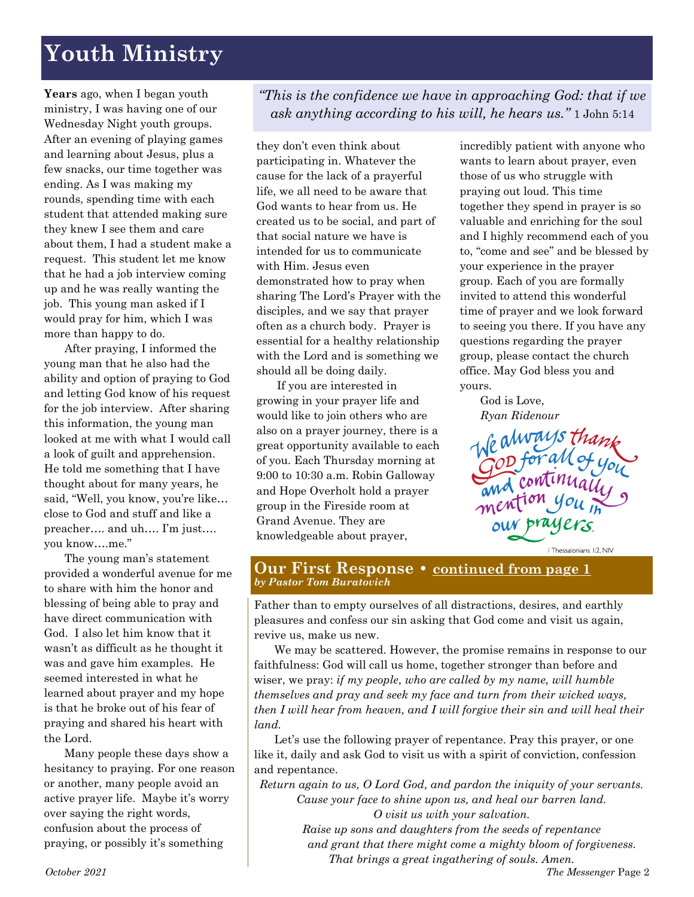# **Youth Ministry**

**Years** ago, when I began youth ministry, I was having one of our Wednesday Night youth groups. After an evening of playing games and learning about Jesus, plus a few snacks, our time together was ending. As I was making my rounds, spending time with each student that attended making sure they knew I see them and care about them, I had a student make a request. This student let me know that he had a job interview coming up and he was really wanting the job. This young man asked if I would pray for him, which I was more than happy to do.

After praying, I informed the young man that he also had the ability and option of praying to God and letting God know of his request for the job interview. After sharing this information, the young man looked at me with what I would call a look of guilt and apprehension. He told me something that I have thought about for many years, he said, "Well, you know, you're like… close to God and stuff and like a preacher…. and uh…. I'm just…. you know….me."

The young man's statement provided a wonderful avenue for me to share with him the honor and blessing of being able to pray and have direct communication with God. I also let him know that it wasn't as difficult as he thought it was and gave him examples. He seemed interested in what he learned about prayer and my hope is that he broke out of his fear of praying and shared his heart with the Lord.

Many people these days show a hesitancy to praying. For one reason or another, many people avoid an active prayer life. Maybe it's worry over saying the right words, confusion about the process of praying, or possibly it's something

*"This is the confidence we have in approaching God: that if we ask anything according to his will, he hears us."* 1 John 5:14

they don't even think about participating in. Whatever the cause for the lack of a prayerful life, we all need to be aware that God wants to hear from us. He created us to be social, and part of that social nature we have is intended for us to communicate with Him. Jesus even demonstrated how to pray when sharing The Lord's Prayer with the disciples, and we say that prayer often as a church body. Prayer is essential for a healthy relationship with the Lord and is something we should all be doing daily.

If you are interested in growing in your prayer life and would like to join others who are also on a prayer journey, there is a great opportunity available to each of you. Each Thursday morning at 9:00 to 10:30 a.m. Robin Galloway and Hope Overholt hold a prayer group in the Fireside room at Grand Avenue. They are knowledgeable about prayer,

incredibly patient with anyone who wants to learn about prayer, even those of us who struggle with praying out loud. This time together they spend in prayer is so valuable and enriching for the soul and I highly recommend each of you to, "come and see" and be blessed by your experience in the prayer group. Each of you are formally invited to attend this wonderful time of prayer and we look forward to seeing you there. If you have any questions regarding the prayer group, please contact the church office. May God bless you and yours.

God is Love, *Ryan Ridenour*

God for all o mention you prayers. | Thessalonians 1:2, NIV

#### **Our First Response • continued from page 1** *by Pastor Tom Buratovich*

Father than to empty ourselves of all distractions, desires, and earthly pleasures and confess our sin asking that God come and visit us again, revive us, make us new.

We may be scattered. However, the promise remains in response to our faithfulness: God will call us home, together stronger than before and wiser, we pray: *if my people, who are called by my name, will humble themselves and pray and seek my face and turn from their wicked ways, then I will hear from heaven, and I will forgive their sin and will heal their land.*

Let's use the following prayer of repentance. Pray this prayer, or one like it, daily and ask God to visit us with a spirit of conviction, confession and repentance.

*Return again to us, O Lord God, and pardon the iniquity of your servants. Cause your face to shine upon us, and heal our barren land.*

> *O visit us with your salvation. Raise up sons and daughters from the seeds of repentance and grant that there might come a mighty bloom of forgiveness. That brings a great ingathering of souls. Amen.*

*October 2021 The Messenger* Page 2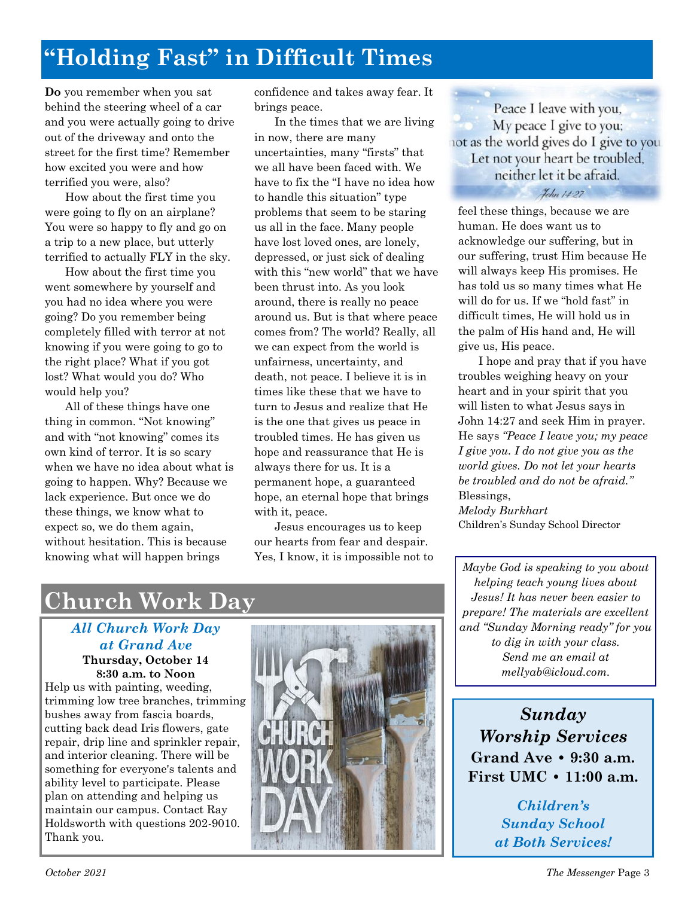# **"Holding Fast" in Difficult Times**

**Do** you remember when you sat behind the steering wheel of a car and you were actually going to drive out of the driveway and onto the street for the first time? Remember how excited you were and how terrified you were, also?

How about the first time you were going to fly on an airplane? You were so happy to fly and go on a trip to a new place, but utterly terrified to actually FLY in the sky.

How about the first time you went somewhere by yourself and you had no idea where you were going? Do you remember being completely filled with terror at not knowing if you were going to go to the right place? What if you got lost? What would you do? Who would help you?

All of these things have one thing in common. "Not knowing" and with "not knowing" comes its own kind of terror. It is so scary when we have no idea about what is going to happen. Why? Because we lack experience. But once we do these things, we know what to expect so, we do them again, without hesitation. This is because knowing what will happen brings

confidence and takes away fear. It brings peace.

In the times that we are living in now, there are many uncertainties, many "firsts" that we all have been faced with. We have to fix the "I have no idea how to handle this situation" type problems that seem to be staring us all in the face. Many people have lost loved ones, are lonely, depressed, or just sick of dealing with this "new world" that we have been thrust into. As you look around, there is really no peace around us. But is that where peace comes from? The world? Really, all we can expect from the world is unfairness, uncertainty, and death, not peace. I believe it is in times like these that we have to turn to Jesus and realize that He is the one that gives us peace in troubled times. He has given us hope and reassurance that He is always there for us. It is a permanent hope, a guaranteed hope, an eternal hope that brings with it, peace.

Jesus encourages us to keep our hearts from fear and despair. Yes, I know, it is impossible not to

Peace I leave with you, My peace I give to you; not as the world gives do I give to you Let not your heart be troubled, neither let it be afraid. *Kehn 14:27* 

feel these things, because we are human. He does want us to acknowledge our suffering, but in our suffering, trust Him because He will always keep His promises. He has told us so many times what He will do for us. If we "hold fast" in difficult times, He will hold us in the palm of His hand and, He will give us, His peace.

I hope and pray that if you have troubles weighing heavy on your heart and in your spirit that you will listen to what Jesus says in John 14:27 and seek Him in prayer. He says *"Peace I leave you; my peace I give you. I do not give you as the world gives. Do not let your hearts be troubled and do not be afraid."* Blessings, *Melody Burkhart* Children's Sunday School Director

*Maybe God is speaking to you about helping teach young lives about Jesus! It has never been easier to prepare! The materials are excellent and "Sunday Morning ready" for you to dig in with your class. Send me an email at mellyab@icloud.com.*

*Sunday Worship Services* **Grand Ave • 9:30 a.m. First UMC • 11:00 a.m.** 

> *Children's Sunday School at Both Services!*

# **Church Work Day**

## *All Church Work Day at Grand Ave*

**Thursday, October 14 8:30 a.m. to Noon**  Help us with painting, weeding, trimming low tree branches, trimming bushes away from fascia boards, cutting back dead Iris flowers, gate repair, drip line and sprinkler repair, and interior cleaning. There will be something for everyone's talents and ability level to participate. Please plan on attending and helping us maintain our campus. Contact Ray Holdsworth with questions 202-9010. Thank you.

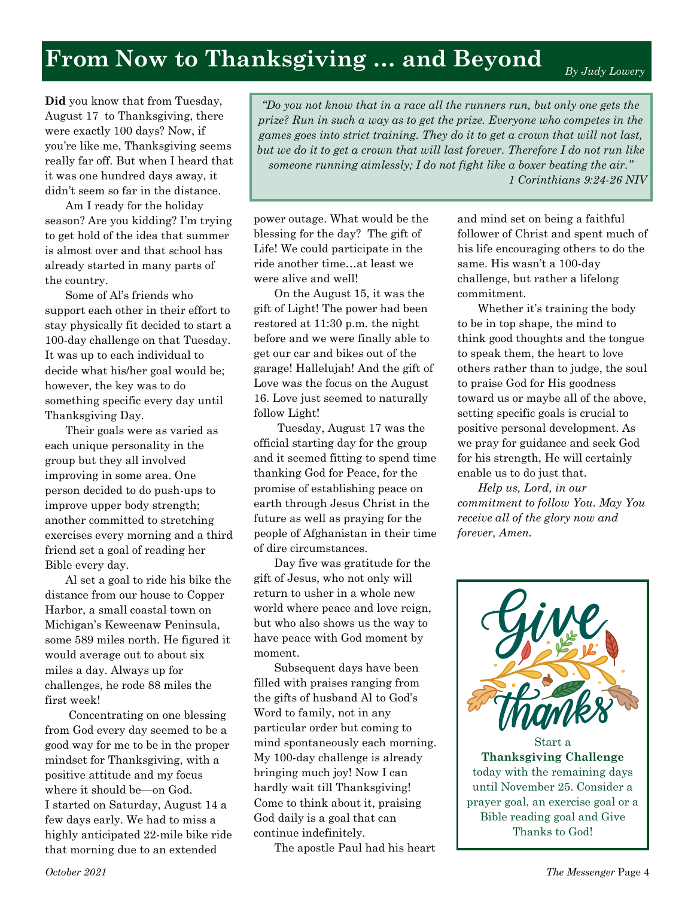# **From Now to Thanksgiving … and Beyond**

*By Judy Lowery*

**Did** you know that from Tuesday, August 17 to Thanksgiving, there were exactly 100 days? Now, if you're like me, Thanksgiving seems really far off. But when I heard that it was one hundred days away, it didn't seem so far in the distance.

Am I ready for the holiday season? Are you kidding? I'm trying to get hold of the idea that summer is almost over and that school has already started in many parts of the country.

Some of Al's friends who support each other in their effort to stay physically fit decided to start a 100-day challenge on that Tuesday. It was up to each individual to decide what his/her goal would be; however, the key was to do something specific every day until Thanksgiving Day.

Their goals were as varied as each unique personality in the group but they all involved improving in some area. One person decided to do push-ups to improve upper body strength; another committed to stretching exercises every morning and a third friend set a goal of reading her Bible every day.

Al set a goal to ride his bike the distance from our house to Copper Harbor, a small coastal town on Michigan's Keweenaw Peninsula, some 589 miles north. He figured it would average out to about six miles a day. Always up for challenges, he rode 88 miles the first week!

Concentrating on one blessing from God every day seemed to be a good way for me to be in the proper mindset for Thanksgiving, with a positive attitude and my focus where it should be—on God. I started on Saturday, August 14 a few days early. We had to miss a highly anticipated 22-mile bike ride that morning due to an extended

*"Do you not know that in a race all the runners run, but only one gets the prize? Run in such a way as to get the prize. Everyone who competes in the games goes into strict training. They do it to get a crown that will not last, but we do it to get a crown that will last forever. Therefore I do not run like someone running aimlessly; I do not fight like a boxer beating the air." 1 Corinthians 9:24-26 NIV* 

power outage. What would be the blessing for the day? The gift of Life! We could participate in the ride another time…at least we were alive and well!

On the August 15, it was the gift of Light! The power had been restored at 11:30 p.m. the night before and we were finally able to get our car and bikes out of the garage! Hallelujah! And the gift of Love was the focus on the August 16. Love just seemed to naturally follow Light!

Tuesday, August 17 was the official starting day for the group and it seemed fitting to spend time thanking God for Peace, for the promise of establishing peace on earth through Jesus Christ in the future as well as praying for the people of Afghanistan in their time of dire circumstances.

Day five was gratitude for the gift of Jesus, who not only will return to usher in a whole new world where peace and love reign, but who also shows us the way to have peace with God moment by moment.

Subsequent days have been filled with praises ranging from the gifts of husband Al to God's Word to family, not in any particular order but coming to mind spontaneously each morning. My 100-day challenge is already bringing much joy! Now I can hardly wait till Thanksgiving! Come to think about it, praising God daily is a goal that can continue indefinitely.

The apostle Paul had his heart

and mind set on being a faithful follower of Christ and spent much of his life encouraging others to do the same. His wasn't a 100-day challenge, but rather a lifelong commitment.

Whether it's training the body to be in top shape, the mind to think good thoughts and the tongue to speak them, the heart to love others rather than to judge, the soul to praise God for His goodness toward us or maybe all of the above, setting specific goals is crucial to positive personal development. As we pray for guidance and seek God for his strength, He will certainly enable us to do just that.

*Help us, Lord, in our commitment to follow You. May You receive all of the glory now and forever, Amen.*

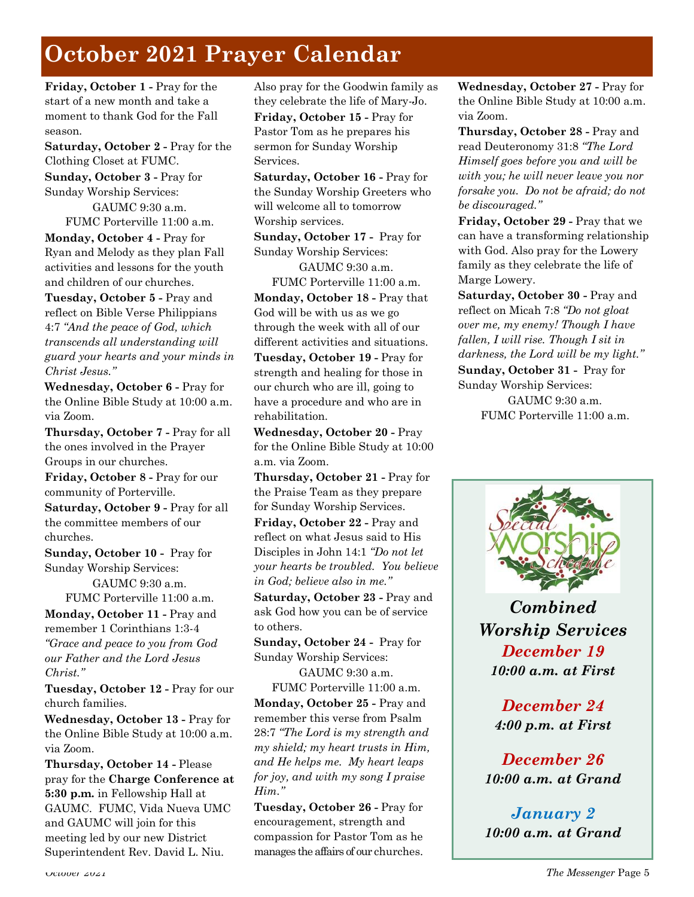# **October 2021 Prayer Calendar**

**Friday, October 1 -** Pray for the start of a new month and take a moment to thank God for the Fall season.

**Saturday, October 2 -** Pray for the Clothing Closet at FUMC.

**Sunday, October 3 -** Pray for Sunday Worship Services:

> GAUMC 9:30 a.m. FUMC Porterville 11:00 a.m.

**Monday, October 4 -** Pray for Ryan and Melody as they plan Fall activities and lessons for the youth and children of our churches.

**Tuesday, October 5 -** Pray and reflect on Bible Verse Philippians 4:7 *"And the peace of God, which transcends all understanding will guard your hearts and your minds in Christ Jesus."*

**Wednesday, October 6 -** Pray for the Online Bible Study at 10:00 a.m. via Zoom.

**Thursday, October 7 -** Pray for all the ones involved in the Prayer Groups in our churches.

**Friday, October 8 -** Pray for our community of Porterville.

**Saturday, October 9 -** Pray for all the committee members of our churches.

**Sunday, October 10 -** Pray for Sunday Worship Services:

> GAUMC 9:30 a.m. FUMC Porterville 11:00 a.m.

**Monday, October 11 -** Pray and remember 1 Corinthians 1:3-4 *"Grace and peace to you from God our Father and the Lord Jesus Christ."*

**Tuesday, October 12 -** Pray for our church families.

**Wednesday, October 13 -** Pray for the Online Bible Study at 10:00 a.m. via Zoom.

**Thursday, October 14 -** Please pray for the **Charge Conference at 5:30 p.m.** in Fellowship Hall at GAUMC. FUMC, Vida Nueva UMC and GAUMC will join for this meeting led by our new District Superintendent Rev. David L. Niu.

Also pray for the Goodwin family as they celebrate the life of Mary-Jo. **Friday, October 15 -** Pray for Pastor Tom as he prepares his sermon for Sunday Worship Services.

**Saturday, October 16 -** Pray for the Sunday Worship Greeters who will welcome all to tomorrow Worship services.

**Sunday, October 17 -** Pray for Sunday Worship Services:

GAUMC 9:30 a.m.

FUMC Porterville 11:00 a.m. **Monday, October 18 -** Pray that God will be with us as we go through the week with all of our different activities and situations. **Tuesday, October 19 -** Pray for strength and healing for those in our church who are ill, going to have a procedure and who are in rehabilitation.

**Wednesday, October 20 -** Pray for the Online Bible Study at 10:00 a.m. via Zoom.

**Thursday, October 21 -** Pray for the Praise Team as they prepare for Sunday Worship Services.

**Friday, October 22 -** Pray and reflect on what Jesus said to His Disciples in John 14:1 *"Do not let your hearts be troubled. You believe in God; believe also in me."*

**Saturday, October 23 -** Pray and ask God how you can be of service to others.

**Sunday, October 24 -** Pray for Sunday Worship Services:

GAUMC 9:30 a.m. FUMC Porterville 11:00 a.m.

**Monday, October 25 -** Pray and remember this verse from Psalm 28:7 *"The Lord is my strength and my shield; my heart trusts in Him, and He helps me. My heart leaps for joy, and with my song I praise Him."*

**Tuesday, October 26 -** Pray for encouragement, strength and compassion for Pastor Tom as he manages the affairs of our churches. **Wednesday, October 27 -** Pray for the Online Bible Study at 10:00 a.m. via Zoom.

**Thursday, October 28 -** Pray and read Deuteronomy 31:8 *"The Lord Himself goes before you and will be with you; he will never leave you nor forsake you. Do not be afraid; do not be discouraged."*

**Friday, October 29 -** Pray that we can have a transforming relationship with God. Also pray for the Lowery family as they celebrate the life of Marge Lowery.

**Saturday, October 30 -** Pray and reflect on Micah 7:8 *"Do not gloat over me, my enemy! Though I have fallen, I will rise. Though I sit in darkness, the Lord will be my light."* **Sunday, October 31 -** Pray for

Sunday Worship Services:

GAUMC 9:30 a.m. FUMC Porterville 11:00 a.m.



*Combined Worship Services December 19 10:00 a.m. at First*

> *December 24 4:00 p.m. at First*

*December 26 10:00 a.m. at Grand*

*January 2 10:00 a.m. at Grand*